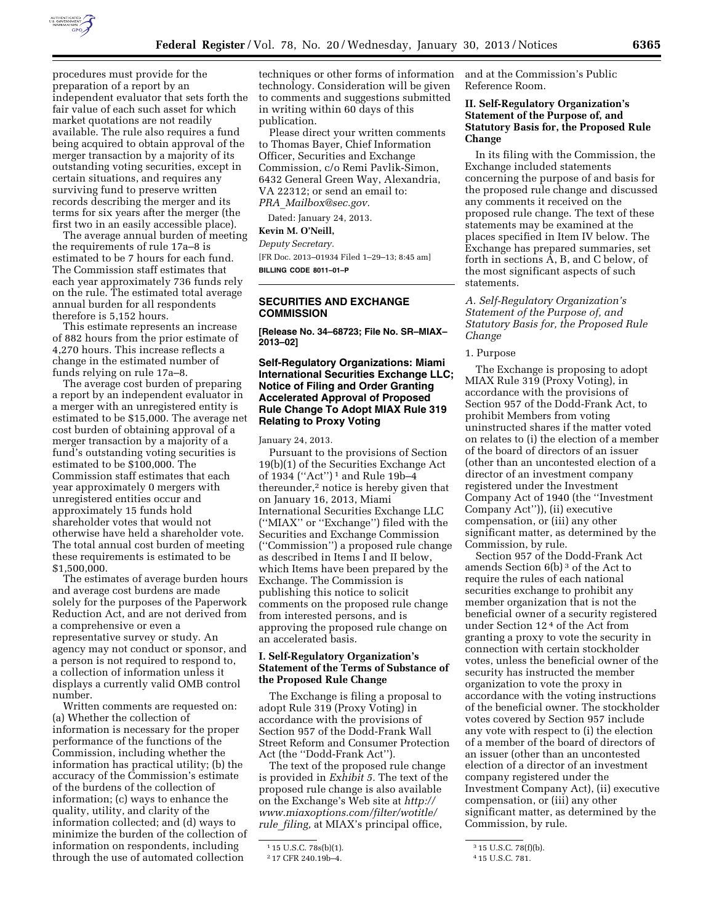

procedures must provide for the preparation of a report by an independent evaluator that sets forth the fair value of each such asset for which market quotations are not readily available. The rule also requires a fund being acquired to obtain approval of the merger transaction by a majority of its outstanding voting securities, except in certain situations, and requires any surviving fund to preserve written records describing the merger and its terms for six years after the merger (the first two in an easily accessible place).

The average annual burden of meeting the requirements of rule 17a–8 is estimated to be 7 hours for each fund. The Commission staff estimates that each year approximately 736 funds rely on the rule. The estimated total average annual burden for all respondents therefore is 5,152 hours.

This estimate represents an increase of 882 hours from the prior estimate of 4,270 hours. This increase reflects a change in the estimated number of funds relying on rule 17a–8.

The average cost burden of preparing a report by an independent evaluator in a merger with an unregistered entity is estimated to be \$15,000. The average net cost burden of obtaining approval of a merger transaction by a majority of a fund's outstanding voting securities is estimated to be \$100,000. The Commission staff estimates that each year approximately 0 mergers with unregistered entities occur and approximately 15 funds hold shareholder votes that would not otherwise have held a shareholder vote. The total annual cost burden of meeting these requirements is estimated to be \$1,500,000.

The estimates of average burden hours and average cost burdens are made solely for the purposes of the Paperwork Reduction Act, and are not derived from a comprehensive or even a representative survey or study. An agency may not conduct or sponsor, and a person is not required to respond to, a collection of information unless it displays a currently valid OMB control number.

Written comments are requested on: (a) Whether the collection of information is necessary for the proper performance of the functions of the Commission, including whether the information has practical utility; (b) the accuracy of the Commission's estimate of the burdens of the collection of information; (c) ways to enhance the quality, utility, and clarity of the information collected; and (d) ways to minimize the burden of the collection of information on respondents, including through the use of automated collection

techniques or other forms of information technology. Consideration will be given to comments and suggestions submitted in writing within 60 days of this publication.

Please direct your written comments to Thomas Bayer, Chief Information Officer, Securities and Exchange Commission, c/o Remi Pavlik-Simon, 6432 General Green Way, Alexandria, VA 22312; or send an email to: *PRA*\_*[Mailbox@sec.gov.](mailto:PRA_Mailbox@sec.gov)* 

Dated: January 24, 2013.

# **Kevin M. O'Neill,**

*Deputy Secretary.* 

[FR Doc. 2013–01934 Filed 1–29–13; 8:45 am] **BILLING CODE 8011–01–P** 

### **SECURITIES AND EXCHANGE COMMISSION**

**[Release No. 34–68723; File No. SR–MIAX– 2013–02]** 

### **Self-Regulatory Organizations: Miami International Securities Exchange LLC; Notice of Filing and Order Granting Accelerated Approval of Proposed Rule Change To Adopt MIAX Rule 319 Relating to Proxy Voting**

January 24, 2013.

Pursuant to the provisions of Section 19(b)(1) of the Securities Exchange Act of 1934 (''Act'') 1 and Rule 19b–4 thereunder,2 notice is hereby given that on January 16, 2013, Miami International Securities Exchange LLC (''MIAX'' or ''Exchange'') filed with the Securities and Exchange Commission (''Commission'') a proposed rule change as described in Items I and II below, which Items have been prepared by the Exchange. The Commission is publishing this notice to solicit comments on the proposed rule change from interested persons, and is approving the proposed rule change on an accelerated basis.

## **I. Self-Regulatory Organization's Statement of the Terms of Substance of the Proposed Rule Change**

The Exchange is filing a proposal to adopt Rule 319 (Proxy Voting) in accordance with the provisions of Section 957 of the Dodd-Frank Wall Street Reform and Consumer Protection Act (the ''Dodd-Frank Act'').

The text of the proposed rule change is provided in *Exhibit 5.* The text of the proposed rule change is also available on the Exchange's Web site at *[http://](http://www.miaxoptions.com/filter/wotitle/rule_filing) [www.miaxoptions.com/filter/wotitle/](http://www.miaxoptions.com/filter/wotitle/rule_filing)  rule*\_*[filing,](http://www.miaxoptions.com/filter/wotitle/rule_filing)* at MIAX's principal office,

and at the Commission's Public Reference Room.

### **II. Self-Regulatory Organization's Statement of the Purpose of, and Statutory Basis for, the Proposed Rule Change**

In its filing with the Commission, the Exchange included statements concerning the purpose of and basis for the proposed rule change and discussed any comments it received on the proposed rule change. The text of these statements may be examined at the places specified in Item IV below. The Exchange has prepared summaries, set forth in sections A, B, and C below, of the most significant aspects of such statements.

*A. Self-Regulatory Organization's Statement of the Purpose of, and Statutory Basis for, the Proposed Rule Change* 

1. Purpose

The Exchange is proposing to adopt MIAX Rule 319 (Proxy Voting), in accordance with the provisions of Section 957 of the Dodd-Frank Act, to prohibit Members from voting uninstructed shares if the matter voted on relates to (i) the election of a member of the board of directors of an issuer (other than an uncontested election of a director of an investment company registered under the Investment Company Act of 1940 (the ''Investment Company Act'')), (ii) executive compensation, or (iii) any other significant matter, as determined by the Commission, by rule.

Section 957 of the Dodd-Frank Act amends Section 6(b) 3 of the Act to require the rules of each national securities exchange to prohibit any member organization that is not the beneficial owner of a security registered under Section 12 4 of the Act from granting a proxy to vote the security in connection with certain stockholder votes, unless the beneficial owner of the security has instructed the member organization to vote the proxy in accordance with the voting instructions of the beneficial owner. The stockholder votes covered by Section 957 include any vote with respect to (i) the election of a member of the board of directors of an issuer (other than an uncontested election of a director of an investment company registered under the Investment Company Act), (ii) executive compensation, or (iii) any other significant matter, as determined by the Commission, by rule.

<sup>1</sup> 15 U.S.C. 78s(b)(1).

<sup>2</sup> 17 CFR 240.19b–4.

<sup>3</sup> 15 U.S.C. 78(f)(b).

<sup>4</sup> 15 U.S.C. 781.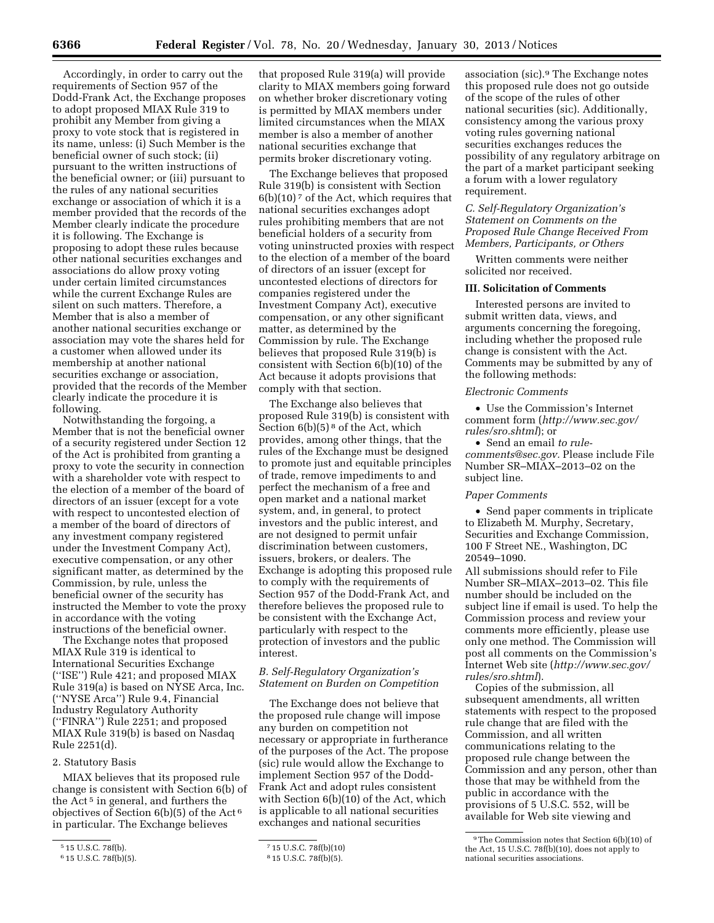Accordingly, in order to carry out the requirements of Section 957 of the Dodd-Frank Act, the Exchange proposes to adopt proposed MIAX Rule 319 to prohibit any Member from giving a proxy to vote stock that is registered in its name, unless: (i) Such Member is the beneficial owner of such stock; (ii) pursuant to the written instructions of the beneficial owner; or (iii) pursuant to the rules of any national securities exchange or association of which it is a member provided that the records of the Member clearly indicate the procedure it is following. The Exchange is proposing to adopt these rules because other national securities exchanges and associations do allow proxy voting under certain limited circumstances while the current Exchange Rules are silent on such matters. Therefore, a Member that is also a member of another national securities exchange or association may vote the shares held for a customer when allowed under its membership at another national securities exchange or association, provided that the records of the Member clearly indicate the procedure it is following.

Notwithstanding the forgoing, a Member that is not the beneficial owner of a security registered under Section 12 of the Act is prohibited from granting a proxy to vote the security in connection with a shareholder vote with respect to the election of a member of the board of directors of an issuer (except for a vote with respect to uncontested election of a member of the board of directors of any investment company registered under the Investment Company Act), executive compensation, or any other significant matter, as determined by the Commission, by rule, unless the beneficial owner of the security has instructed the Member to vote the proxy in accordance with the voting instructions of the beneficial owner.

The Exchange notes that proposed MIAX Rule 319 is identical to International Securities Exchange (''ISE'') Rule 421; and proposed MIAX Rule 319(a) is based on NYSE Arca, Inc. (''NYSE Arca'') Rule 9.4, Financial Industry Regulatory Authority (''FINRA'') Rule 2251; and proposed MIAX Rule 319(b) is based on Nasdaq Rule 2251(d).

#### 2. Statutory Basis

MIAX believes that its proposed rule change is consistent with Section 6(b) of the Act<sup>5</sup> in general, and furthers the objectives of Section 6(b)(5) of the Act 6 in particular. The Exchange believes

that proposed Rule 319(a) will provide clarity to MIAX members going forward on whether broker discretionary voting is permitted by MIAX members under limited circumstances when the MIAX member is also a member of another national securities exchange that permits broker discretionary voting.

The Exchange believes that proposed Rule 319(b) is consistent with Section  $6(b)(10)<sup>7</sup>$  of the Act, which requires that national securities exchanges adopt rules prohibiting members that are not beneficial holders of a security from voting uninstructed proxies with respect to the election of a member of the board of directors of an issuer (except for uncontested elections of directors for companies registered under the Investment Company Act), executive compensation, or any other significant matter, as determined by the Commission by rule. The Exchange believes that proposed Rule 319(b) is consistent with Section 6(b)(10) of the Act because it adopts provisions that comply with that section.

The Exchange also believes that proposed Rule 319(b) is consistent with Section  $6(b)(5)^8$  of the Act, which provides, among other things, that the rules of the Exchange must be designed to promote just and equitable principles of trade, remove impediments to and perfect the mechanism of a free and open market and a national market system, and, in general, to protect investors and the public interest, and are not designed to permit unfair discrimination between customers, issuers, brokers, or dealers. The Exchange is adopting this proposed rule to comply with the requirements of Section 957 of the Dodd-Frank Act, and therefore believes the proposed rule to be consistent with the Exchange Act, particularly with respect to the protection of investors and the public interest.

### *B. Self-Regulatory Organization's Statement on Burden on Competition*

The Exchange does not believe that the proposed rule change will impose any burden on competition not necessary or appropriate in furtherance of the purposes of the Act. The propose (sic) rule would allow the Exchange to implement Section 957 of the Dodd-Frank Act and adopt rules consistent with Section 6(b)(10) of the Act, which is applicable to all national securities exchanges and national securities

association (sic).9 The Exchange notes this proposed rule does not go outside of the scope of the rules of other national securities (sic). Additionally, consistency among the various proxy voting rules governing national securities exchanges reduces the possibility of any regulatory arbitrage on the part of a market participant seeking a forum with a lower regulatory requirement.

## *C. Self-Regulatory Organization's Statement on Comments on the Proposed Rule Change Received From Members, Participants, or Others*

Written comments were neither solicited nor received.

### **III. Solicitation of Comments**

Interested persons are invited to submit written data, views, and arguments concerning the foregoing, including whether the proposed rule change is consistent with the Act. Comments may be submitted by any of the following methods:

#### *Electronic Comments*

• Use the Commission's Internet comment form (*[http://www.sec.gov/](http://www.sec.gov/rules/sro.shtml)  [rules/sro.shtml](http://www.sec.gov/rules/sro.shtml)*); or

• Send an email *[to rule](mailto:torule-comments@sec.gov)[comments@sec.gov.](mailto:torule-comments@sec.gov)* Please include File Number SR–MIAX–2013–02 on the subject line.

#### *Paper Comments*

• Send paper comments in triplicate to Elizabeth M. Murphy, Secretary, Securities and Exchange Commission, 100 F Street NE., Washington, DC 20549–1090.

All submissions should refer to File Number SR–MIAX–2013–02. This file number should be included on the subject line if email is used. To help the Commission process and review your comments more efficiently, please use only one method. The Commission will post all comments on the Commission's Internet Web site (*[http://www.sec.gov/](http://www.sec.gov/rules/sro.shtml)  [rules/sro.shtml](http://www.sec.gov/rules/sro.shtml)*).

Copies of the submission, all subsequent amendments, all written statements with respect to the proposed rule change that are filed with the Commission, and all written communications relating to the proposed rule change between the Commission and any person, other than those that may be withheld from the public in accordance with the provisions of 5 U.S.C. 552, will be available for Web site viewing and

<sup>5</sup> 15 U.S.C. 78f(b).

<sup>6</sup> 15 U.S.C. 78f(b)(5).

<sup>7</sup> 15 U.S.C. 78f(b)(10)

<sup>8</sup> 15 U.S.C. 78f(b)(5).

<sup>9</sup>The Commission notes that Section 6(b)(10) of the Act, 15 U.S.C. 78f(b)(10), does not apply to national securities associations.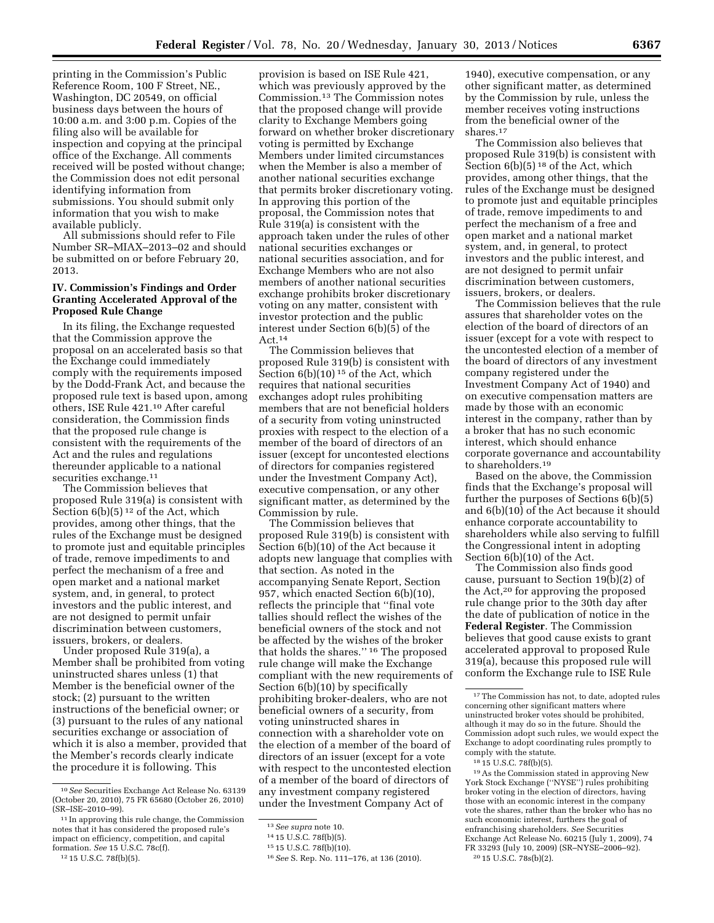printing in the Commission's Public Reference Room, 100 F Street, NE., Washington, DC 20549, on official business days between the hours of 10:00 a.m. and 3:00 p.m. Copies of the filing also will be available for inspection and copying at the principal office of the Exchange. All comments received will be posted without change; the Commission does not edit personal identifying information from submissions. You should submit only information that you wish to make available publicly.

All submissions should refer to File Number SR–MIAX–2013–02 and should be submitted on or before February 20, 2013.

### **IV. Commission's Findings and Order Granting Accelerated Approval of the Proposed Rule Change**

In its filing, the Exchange requested that the Commission approve the proposal on an accelerated basis so that the Exchange could immediately comply with the requirements imposed by the Dodd-Frank Act, and because the proposed rule text is based upon, among others, ISE Rule 421.10 After careful consideration, the Commission finds that the proposed rule change is consistent with the requirements of the Act and the rules and regulations thereunder applicable to a national securities exchange.<sup>11</sup>

The Commission believes that proposed Rule 319(a) is consistent with Section  $6(b)(5)^{12}$  of the Act, which provides, among other things, that the rules of the Exchange must be designed to promote just and equitable principles of trade, remove impediments to and perfect the mechanism of a free and open market and a national market system, and, in general, to protect investors and the public interest, and are not designed to permit unfair discrimination between customers, issuers, brokers, or dealers.

Under proposed Rule 319(a), a Member shall be prohibited from voting uninstructed shares unless (1) that Member is the beneficial owner of the stock; (2) pursuant to the written instructions of the beneficial owner; or (3) pursuant to the rules of any national securities exchange or association of which it is also a member, provided that the Member's records clearly indicate the procedure it is following. This

provision is based on ISE Rule 421, which was previously approved by the Commission.13 The Commission notes that the proposed change will provide clarity to Exchange Members going forward on whether broker discretionary voting is permitted by Exchange Members under limited circumstances when the Member is also a member of another national securities exchange that permits broker discretionary voting. In approving this portion of the proposal, the Commission notes that Rule 319(a) is consistent with the approach taken under the rules of other national securities exchanges or national securities association, and for Exchange Members who are not also members of another national securities exchange prohibits broker discretionary voting on any matter, consistent with investor protection and the public interest under Section 6(b)(5) of the Act.14

The Commission believes that proposed Rule 319(b) is consistent with Section  $6(b)(10)^{15}$  of the Act, which requires that national securities exchanges adopt rules prohibiting members that are not beneficial holders of a security from voting uninstructed proxies with respect to the election of a member of the board of directors of an issuer (except for uncontested elections of directors for companies registered under the Investment Company Act), executive compensation, or any other significant matter, as determined by the Commission by rule.

The Commission believes that proposed Rule 319(b) is consistent with Section 6(b)(10) of the Act because it adopts new language that complies with that section. As noted in the accompanying Senate Report, Section 957, which enacted Section 6(b)(10), reflects the principle that ''final vote tallies should reflect the wishes of the beneficial owners of the stock and not be affected by the wishes of the broker that holds the shares.'' 16 The proposed rule change will make the Exchange compliant with the new requirements of Section 6(b)(10) by specifically prohibiting broker-dealers, who are not beneficial owners of a security, from voting uninstructed shares in connection with a shareholder vote on the election of a member of the board of directors of an issuer (except for a vote with respect to the uncontested election of a member of the board of directors of any investment company registered under the Investment Company Act of

1940), executive compensation, or any other significant matter, as determined by the Commission by rule, unless the member receives voting instructions from the beneficial owner of the shares.17

The Commission also believes that proposed Rule 319(b) is consistent with Section  $6(b)(5)^{18}$  of the Act, which provides, among other things, that the rules of the Exchange must be designed to promote just and equitable principles of trade, remove impediments to and perfect the mechanism of a free and open market and a national market system, and, in general, to protect investors and the public interest, and are not designed to permit unfair discrimination between customers, issuers, brokers, or dealers.

The Commission believes that the rule assures that shareholder votes on the election of the board of directors of an issuer (except for a vote with respect to the uncontested election of a member of the board of directors of any investment company registered under the Investment Company Act of 1940) and on executive compensation matters are made by those with an economic interest in the company, rather than by a broker that has no such economic interest, which should enhance corporate governance and accountability to shareholders.19

Based on the above, the Commission finds that the Exchange's proposal will further the purposes of Sections 6(b)(5) and 6(b)(10) of the Act because it should enhance corporate accountability to shareholders while also serving to fulfill the Congressional intent in adopting Section 6(b)(10) of the Act.

The Commission also finds good cause, pursuant to Section 19(b)(2) of the Act,20 for approving the proposed rule change prior to the 30th day after the date of publication of notice in the **Federal Register**. The Commission believes that good cause exists to grant accelerated approval to proposed Rule 319(a), because this proposed rule will conform the Exchange rule to ISE Rule

19As the Commission stated in approving New York Stock Exchange (''NYSE'') rules prohibiting broker voting in the election of directors, having those with an economic interest in the company vote the shares, rather than the broker who has no such economic interest, furthers the goal of enfranchising shareholders. *See* Securities Exchange Act Release No. 60215 (July 1, 2009), 74 FR 33293 (July 10, 2009) (SR–NYSE–2006–92). 20 15 U.S.C. 78s(b)(2).

<sup>10</sup>*See* Securities Exchange Act Release No. 63139 (October 20, 2010), 75 FR 65680 (October 26, 2010) (SR–ISE–2010–99).

<sup>11</sup> In approving this rule change, the Commission notes that it has considered the proposed rule's impact on efficiency, competition, and capital formation. *See* 15 U.S.C. 78c(f).

<sup>12</sup> 15 U.S.C. 78f(b)(5).

<sup>13</sup>*See supra* note 10.

<sup>14</sup> 15 U.S.C. 78f(b)(5).

<sup>15</sup> 15 U.S.C. 78f(b)(10).

<sup>16</sup>*See* S. Rep. No. 111–176, at 136 (2010).

<sup>17</sup>The Commission has not, to date, adopted rules concerning other significant matters where uninstructed broker votes should be prohibited, although it may do so in the future. Should the Commission adopt such rules, we would expect the Exchange to adopt coordinating rules promptly to comply with the statute.

<sup>18</sup> 15 U.S.C. 78f(b)(5).